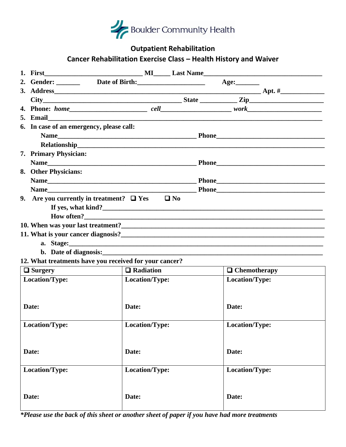

## **Outpatient Rehabilitation**

# **Cancer Rehabilitation Exercise Class – Health History and Waiver**

|                | 1. First                                                                  |                |                  |                |  |                     |  |
|----------------|---------------------------------------------------------------------------|----------------|------------------|----------------|--|---------------------|--|
|                | 2. Gender: _________ Date of Birth: ________________________ Age: _______ |                |                  |                |  |                     |  |
|                |                                                                           |                |                  |                |  |                     |  |
|                | $City$ $City$ $Zip$ $Zip$ $Zip$                                           |                |                  |                |  |                     |  |
|                |                                                                           |                |                  |                |  |                     |  |
|                |                                                                           |                |                  |                |  |                     |  |
|                | 6. In case of an emergency, please call:                                  |                |                  |                |  |                     |  |
|                |                                                                           |                |                  |                |  |                     |  |
|                | <b>Relationship</b>                                                       |                |                  |                |  |                     |  |
|                | 7. Primary Physician:                                                     |                |                  |                |  |                     |  |
|                |                                                                           |                |                  |                |  |                     |  |
|                | 8. Other Physicians:                                                      |                |                  |                |  |                     |  |
|                |                                                                           |                |                  |                |  |                     |  |
|                |                                                                           |                |                  |                |  |                     |  |
|                | 9. Are you currently in treatment? $\Box$ Yes $\Box$ No                   |                |                  |                |  |                     |  |
|                |                                                                           |                |                  |                |  |                     |  |
|                |                                                                           |                |                  |                |  |                     |  |
|                |                                                                           |                |                  |                |  |                     |  |
|                |                                                                           |                |                  |                |  |                     |  |
|                |                                                                           |                |                  |                |  |                     |  |
|                | b. Date of diagnosis: <u>experience</u> and the contract of diagnosis:    |                |                  |                |  |                     |  |
|                | 12. What treatments have you received for your cancer?                    |                |                  |                |  |                     |  |
| $\Box$ Surgery |                                                                           |                | $\Box$ Radiation |                |  | $\Box$ Chemotherapy |  |
|                | Location/Type:                                                            |                | Location/Type:   |                |  | Location/Type:      |  |
|                |                                                                           |                |                  |                |  |                     |  |
|                |                                                                           |                |                  |                |  |                     |  |
| Date:          |                                                                           | Date:          |                  |                |  | Date:               |  |
|                |                                                                           |                |                  |                |  |                     |  |
| Location/Type: |                                                                           |                | Location/Type:   |                |  | Location/Type:      |  |
|                |                                                                           |                |                  |                |  |                     |  |
|                |                                                                           |                |                  |                |  |                     |  |
| Date:          |                                                                           | Date:          |                  |                |  | Date:               |  |
|                |                                                                           |                |                  |                |  |                     |  |
| Location/Type: |                                                                           | Location/Type: |                  | Location/Type: |  |                     |  |
|                |                                                                           |                |                  |                |  |                     |  |
|                |                                                                           |                |                  |                |  |                     |  |
| Date:          |                                                                           | Date:          |                  |                |  | Date:               |  |
|                |                                                                           |                |                  |                |  |                     |  |

*\*Please use the back of this sheet or another sheet of paper if you have had more treatments*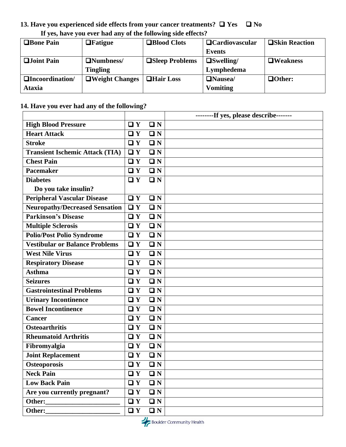## **13. Have you experienced side effects from your cancer treatments?** ❑ **Yes** ❑ **No If yes, have you ever had any of the following side effects?**

| <b>OBone Pain</b>        | $\Box$ Fatigue        | <b>□Blood Clots</b>    | $\Box$ Cardiovascular | <b>□Skin Reaction</b> |
|--------------------------|-----------------------|------------------------|-----------------------|-----------------------|
|                          |                       |                        | Events                |                       |
| $\Box$ Joint Pain        | <b>ONumbness/</b>     | <b>OSleep Problems</b> | $\Box$ Swelling/      | $\Box$ Weakness       |
|                          | <b>Tingling</b>       |                        | Lymphedema            |                       |
| <b>QIncoordination</b> / | $\Box$ Weight Changes | <b>QHair Loss</b>      | $\Box$ Nausea/        | $\Box$ Other:         |
| <b>Ataxia</b>            |                       |                        | <b>Vomiting</b>       |                       |

### **14. Have you ever had any of the following?**

|                                        |              |             | --------If yes, please describe------- |
|----------------------------------------|--------------|-------------|----------------------------------------|
| <b>High Blood Pressure</b>             | $\Box Y$     | $\Box N$    |                                        |
| <b>Heart Attack</b>                    | $\Box Y$     | $\Box N$    |                                        |
| <b>Stroke</b>                          | $\Box Y$     | $\square$ N |                                        |
| <b>Transient Ischemic Attack (TIA)</b> | $\Box Y$     | $\Box N$    |                                        |
| <b>Chest Pain</b>                      | $\Box Y$     | $\Box N$    |                                        |
| <b>Pacemaker</b>                       | $\Box Y$     | $\square$ N |                                        |
| <b>Diabetes</b>                        | $\Box Y$     | $\Box N$    |                                        |
| Do you take insulin?                   |              |             |                                        |
| <b>Peripheral Vascular Disease</b>     | $\Box Y$     | $\Box N$    |                                        |
| <b>Neuropathy/Decreased Sensation</b>  | $\Box Y$     | $\square$ N |                                        |
| <b>Parkinson's Disease</b>             | $\Box Y$     | $\Box N$    |                                        |
| <b>Multiple Sclerosis</b>              | $\Box Y$     | $\Box N$    |                                        |
| <b>Polio/Post Polio Syndrome</b>       | $\Box Y$     | $\Box N$    |                                        |
| <b>Vestibular or Balance Problems</b>  | $\Box Y$     | $\square$ N |                                        |
| <b>West Nile Virus</b>                 | $\Box Y$     | $\Box N$    |                                        |
| <b>Respiratory Disease</b>             | $\Box Y$     | $\Box N$    |                                        |
| <b>Asthma</b>                          | $\Box Y$     | $\square$ N |                                        |
| <b>Seizures</b>                        | $\Box Y$     | $\Box N$    |                                        |
| <b>Gastrointestinal Problems</b>       | $\Box Y$     | $\Box N$    |                                        |
| <b>Urinary Incontinence</b>            | $\Box Y$     | $\Box N$    |                                        |
| <b>Bowel Incontinence</b>              | $\Box Y$     | $\square$ N |                                        |
| Cancer                                 | $\Box Y$     | $\Box N$    |                                        |
| <b>Osteoarthritis</b>                  | $\Box Y$     | $\Box N$    |                                        |
| <b>Rheumatoid Arthritis</b>            | $\Box Y$     | $\square N$ |                                        |
| Fibromyalgia                           | $\Box Y$     | $\Box N$    |                                        |
| <b>Joint Replacement</b>               | $\Box Y$     | $\Box N$    |                                        |
| <b>Osteoporosis</b>                    | $\square$ Y  | $\square$ N |                                        |
| <b>Neck Pain</b>                       | $\Box$ Y     | $\Box N$    |                                        |
| <b>Low Back Pain</b>                   | $\Box$ Y     | $\Box N$    |                                        |
| Are you currently pregnant?            | $\mathbf{u}$ | $\Box N$    |                                        |
| Other:                                 | $\Box Y$     | $\Box N$    |                                        |
| Other:                                 | $\Box Y$     | $\Box N$    |                                        |

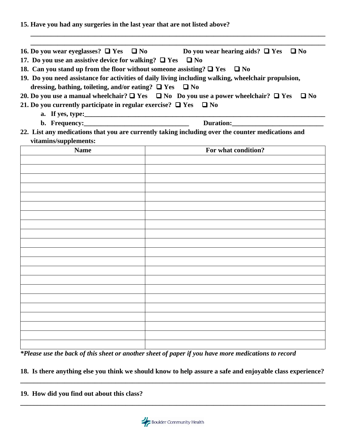**\_\_\_\_\_\_\_\_\_\_\_\_\_\_\_\_\_\_\_\_\_\_\_\_\_\_\_\_\_\_\_\_\_\_\_\_\_\_\_\_\_\_\_\_\_\_\_\_\_\_\_\_\_\_\_\_\_\_\_\_\_\_\_\_\_\_\_\_\_\_\_\_\_\_\_\_\_\_\_\_\_\_\_\_\_\_\_ \_\_\_\_\_\_\_\_\_\_\_\_\_\_\_\_\_\_\_\_\_\_\_\_\_\_\_\_\_\_\_\_\_\_\_\_\_\_\_\_\_\_\_\_\_\_\_\_\_\_\_\_\_\_\_\_\_\_\_\_\_\_\_\_\_\_\_\_\_\_\_\_\_\_\_\_\_\_\_\_\_\_\_\_\_\_\_ 16. Do you wear eyeglasses?** ❑ **Yes** ❑ **No Do you wear hearing aids?** ❑ **Yes** ❑ **No 17. Do you use an assistive device for walking?** ❑ **Yes** ❑ **No 18. Can you stand up from the floor without someone assisting?** ❑ **Yes** ❑ **No 19. Do you need assistance for activities of daily living including walking, wheelchair propulsion, dressing, bathing, toileting, and/or eating?** ❑ **Yes** ❑ **No 20. Do you use a manual wheelchair?** ❑ **Yes** ❑ **No Do you use a power wheelchair?** ❑ **Yes** ❑ **No 21. Do you currently participate in regular exercise?** ❑ **Yes** ❑ **No a. If yes, type:** <u>*<b>*</u> **b. Frequency:\_\_\_\_\_\_\_\_\_\_\_\_\_\_\_\_\_\_\_\_\_\_\_\_\_\_\_\_\_\_\_ Duration:\_\_\_\_\_\_\_\_\_\_\_\_\_\_\_\_\_\_\_\_\_\_\_\_\_\_\_ 22. List any medications that you are currently taking including over the counter medications and vitamins/supplements: Name For what condition?** 

**15. Have you had any surgeries in the last year that are not listed above?** 

*\*Please use the back of this sheet or another sheet of paper if you have more medications to record*

- **18. Is there anything else you think we should know to help assure a safe and enjoyable class experience? \_\_\_\_\_\_\_\_\_\_\_\_\_\_\_\_\_\_\_\_\_\_\_\_\_\_\_\_\_\_\_\_\_\_\_\_\_\_\_\_\_\_\_\_\_\_\_\_\_\_\_\_\_\_\_\_\_\_\_\_\_\_\_\_\_\_\_\_\_\_\_\_\_\_\_\_\_\_\_\_\_\_\_\_\_\_\_\_\_\_**
- **19. How did you find out about this class?**



**\_\_\_\_\_\_\_\_\_\_\_\_\_\_\_\_\_\_\_\_\_\_\_\_\_\_\_\_\_\_\_\_\_\_\_\_\_\_\_\_\_\_\_\_\_\_\_\_\_\_\_\_\_\_\_\_\_\_\_\_\_\_\_\_\_\_\_\_\_\_\_\_\_\_\_\_\_\_\_\_\_\_\_\_\_\_\_\_\_\_**